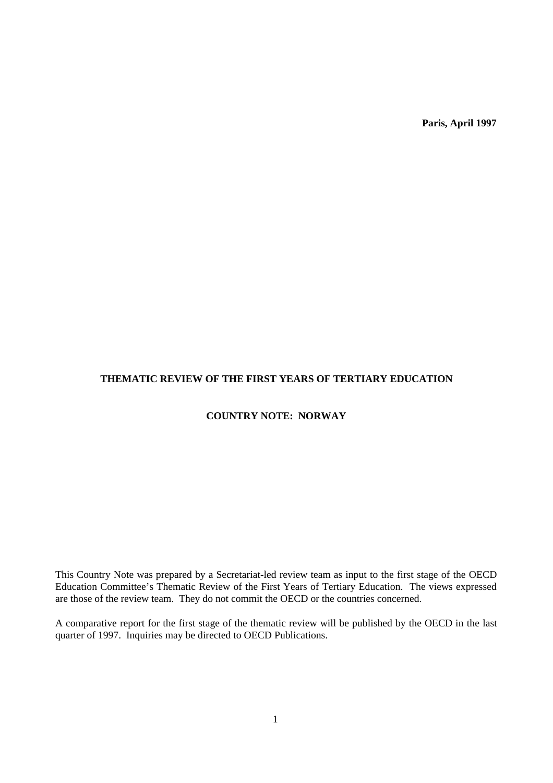**Paris, April 1997**

# **THEMATIC REVIEW OF THE FIRST YEARS OF TERTIARY EDUCATION**

# **COUNTRY NOTE: NORWAY**

This Country Note was prepared by a Secretariat-led review team as input to the first stage of the OECD Education Committee's Thematic Review of the First Years of Tertiary Education. The views expressed are those of the review team. They do not commit the OECD or the countries concerned.

A comparative report for the first stage of the thematic review will be published by the OECD in the last quarter of 1997. Inquiries may be directed to OECD Publications.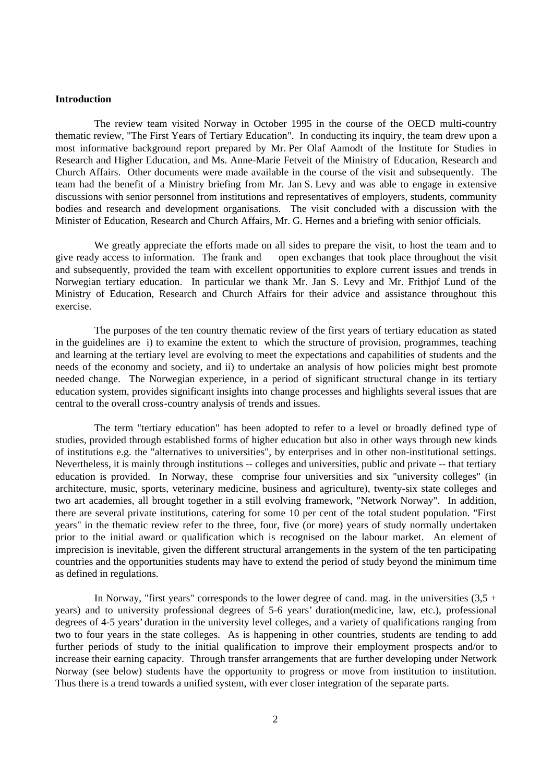#### **Introduction**

The review team visited Norway in October 1995 in the course of the OECD multi-country thematic review, "The First Years of Tertiary Education". In conducting its inquiry, the team drew upon a most informative background report prepared by Mr. Per Olaf Aamodt of the Institute for Studies in Research and Higher Education, and Ms. Anne-Marie Fetveit of the Ministry of Education, Research and Church Affairs. Other documents were made available in the course of the visit and subsequently. The team had the benefit of a Ministry briefing from Mr. Jan S. Levy and was able to engage in extensive discussions with senior personnel from institutions and representatives of employers, students, community bodies and research and development organisations. The visit concluded with a discussion with the Minister of Education, Research and Church Affairs, Mr. G. Hernes and a briefing with senior officials.

We greatly appreciate the efforts made on all sides to prepare the visit, to host the team and to give ready access to information. The frank and open exchanges that took place throughout the visit and subsequently, provided the team with excellent opportunities to explore current issues and trends in Norwegian tertiary education. In particular we thank Mr. Jan S. Levy and Mr. Frithjof Lund of the Ministry of Education, Research and Church Affairs for their advice and assistance throughout this exercise.

The purposes of the ten country thematic review of the first years of tertiary education as stated in the guidelines are i) to examine the extent to which the structure of provision, programmes, teaching and learning at the tertiary level are evolving to meet the expectations and capabilities of students and the needs of the economy and society, and ii) to undertake an analysis of how policies might best promote needed change. The Norwegian experience, in a period of significant structural change in its tertiary education system, provides significant insights into change processes and highlights several issues that are central to the overall cross-country analysis of trends and issues.

The term "tertiary education" has been adopted to refer to a level or broadly defined type of studies, provided through established forms of higher education but also in other ways through new kinds of institutions e.g. the "alternatives to universities", by enterprises and in other non-institutional settings. Nevertheless, it is mainly through institutions -- colleges and universities, public and private -- that tertiary education is provided. In Norway, these comprise four universities and six "university colleges" (in architecture, music, sports, veterinary medicine, business and agriculture), twenty-six state colleges and two art academies, all brought together in a still evolving framework, "Network Norway". In addition, there are several private institutions, catering for some 10 per cent of the total student population. "First years" in the thematic review refer to the three, four, five (or more) years of study normally undertaken prior to the initial award or qualification which is recognised on the labour market. An element of imprecision is inevitable, given the different structural arrangements in the system of the ten participating countries and the opportunities students may have to extend the period of study beyond the minimum time as defined in regulations.

In Norway, "first years" corresponds to the lower degree of cand. mag. in the universities  $(3,5 +$ years) and to university professional degrees of 5-6 years' duration(medicine, law, etc.), professional degrees of 4-5 years' duration in the university level colleges, and a variety of qualifications ranging from two to four years in the state colleges. As is happening in other countries, students are tending to add further periods of study to the initial qualification to improve their employment prospects and/or to increase their earning capacity. Through transfer arrangements that are further developing under Network Norway (see below) students have the opportunity to progress or move from institution to institution. Thus there is a trend towards a unified system, with ever closer integration of the separate parts.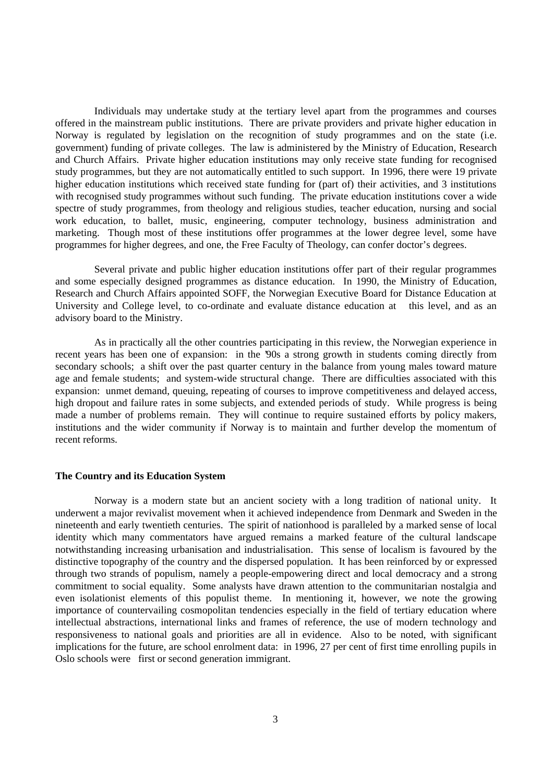Individuals may undertake study at the tertiary level apart from the programmes and courses offered in the mainstream public institutions. There are private providers and private higher education in Norway is regulated by legislation on the recognition of study programmes and on the state (i.e. government) funding of private colleges. The law is administered by the Ministry of Education, Research and Church Affairs. Private higher education institutions may only receive state funding for recognised study programmes, but they are not automatically entitled to such support. In 1996, there were 19 private higher education institutions which received state funding for (part of) their activities, and 3 institutions with recognised study programmes without such funding. The private education institutions cover a wide spectre of study programmes, from theology and religious studies, teacher education, nursing and social work education, to ballet, music, engineering, computer technology, business administration and marketing. Though most of these institutions offer programmes at the lower degree level, some have programmes for higher degrees, and one, the Free Faculty of Theology, can confer doctor's degrees.

Several private and public higher education institutions offer part of their regular programmes and some especially designed programmes as distance education. In 1990, the Ministry of Education, Research and Church Affairs appointed SOFF, the Norwegian Executive Board for Distance Education at University and College level, to co-ordinate and evaluate distance education at this level, and as an advisory board to the Ministry.

As in practically all the other countries participating in this review, the Norwegian experience in recent years has been one of expansion: in the '90s a strong growth in students coming directly from secondary schools; a shift over the past quarter century in the balance from young males toward mature age and female students; and system-wide structural change. There are difficulties associated with this expansion: unmet demand, queuing, repeating of courses to improve competitiveness and delayed access, high dropout and failure rates in some subjects, and extended periods of study. While progress is being made a number of problems remain. They will continue to require sustained efforts by policy makers, institutions and the wider community if Norway is to maintain and further develop the momentum of recent reforms.

#### **The Country and its Education System**

Norway is a modern state but an ancient society with a long tradition of national unity. It underwent a major revivalist movement when it achieved independence from Denmark and Sweden in the nineteenth and early twentieth centuries. The spirit of nationhood is paralleled by a marked sense of local identity which many commentators have argued remains a marked feature of the cultural landscape notwithstanding increasing urbanisation and industrialisation. This sense of localism is favoured by the distinctive topography of the country and the dispersed population. It has been reinforced by or expressed through two strands of populism, namely a people-empowering direct and local democracy and a strong commitment to social equality. Some analysts have drawn attention to the communitarian nostalgia and even isolationist elements of this populist theme. In mentioning it, however, we note the growing importance of countervailing cosmopolitan tendencies especially in the field of tertiary education where intellectual abstractions, international links and frames of reference, the use of modern technology and responsiveness to national goals and priorities are all in evidence. Also to be noted, with significant implications for the future, are school enrolment data: in 1996, 27 per cent of first time enrolling pupils in Oslo schools were first or second generation immigrant.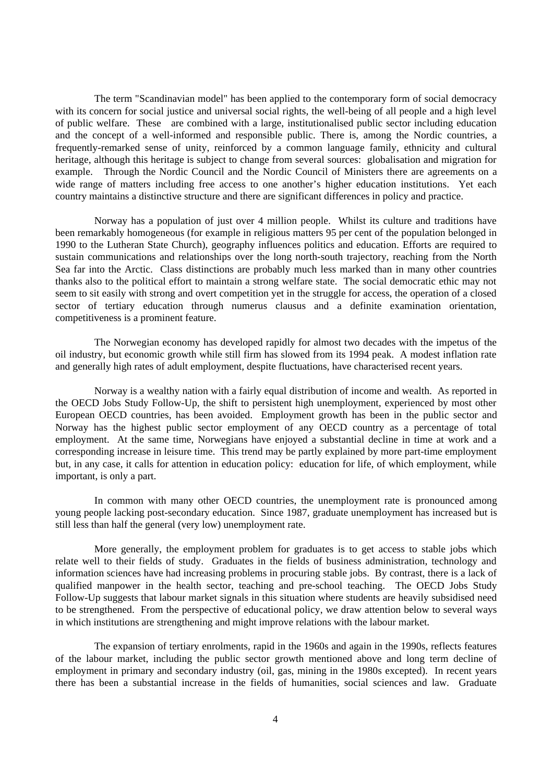The term "Scandinavian model" has been applied to the contemporary form of social democracy with its concern for social justice and universal social rights, the well-being of all people and a high level of public welfare. These are combined with a large, institutionalised public sector including education and the concept of a well-informed and responsible public. There is, among the Nordic countries, a frequently-remarked sense of unity, reinforced by a common language family, ethnicity and cultural heritage, although this heritage is subject to change from several sources: globalisation and migration for example. Through the Nordic Council and the Nordic Council of Ministers there are agreements on a wide range of matters including free access to one another's higher education institutions. Yet each country maintains a distinctive structure and there are significant differences in policy and practice.

Norway has a population of just over 4 million people. Whilst its culture and traditions have been remarkably homogeneous (for example in religious matters 95 per cent of the population belonged in 1990 to the Lutheran State Church), geography influences politics and education. Efforts are required to sustain communications and relationships over the long north-south trajectory, reaching from the North Sea far into the Arctic. Class distinctions are probably much less marked than in many other countries thanks also to the political effort to maintain a strong welfare state. The social democratic ethic may not seem to sit easily with strong and overt competition yet in the struggle for access, the operation of a closed sector of tertiary education through numerus clausus and a definite examination orientation, competitiveness is a prominent feature.

The Norwegian economy has developed rapidly for almost two decades with the impetus of the oil industry, but economic growth while still firm has slowed from its 1994 peak. A modest inflation rate and generally high rates of adult employment, despite fluctuations, have characterised recent years.

Norway is a wealthy nation with a fairly equal distribution of income and wealth. As reported in the OECD Jobs Study Follow-Up, the shift to persistent high unemployment, experienced by most other European OECD countries, has been avoided. Employment growth has been in the public sector and Norway has the highest public sector employment of any OECD country as a percentage of total employment. At the same time, Norwegians have enjoyed a substantial decline in time at work and a corresponding increase in leisure time. This trend may be partly explained by more part-time employment but, in any case, it calls for attention in education policy: education for life, of which employment, while important, is only a part.

In common with many other OECD countries, the unemployment rate is pronounced among young people lacking post-secondary education. Since 1987, graduate unemployment has increased but is still less than half the general (very low) unemployment rate.

More generally, the employment problem for graduates is to get access to stable jobs which relate well to their fields of study. Graduates in the fields of business administration, technology and information sciences have had increasing problems in procuring stable jobs. By contrast, there is a lack of qualified manpower in the health sector, teaching and pre-school teaching. The OECD Jobs Study Follow-Up suggests that labour market signals in this situation where students are heavily subsidised need to be strengthened. From the perspective of educational policy, we draw attention below to several ways in which institutions are strengthening and might improve relations with the labour market.

The expansion of tertiary enrolments, rapid in the 1960s and again in the 1990s, reflects features of the labour market, including the public sector growth mentioned above and long term decline of employment in primary and secondary industry (oil, gas, mining in the 1980s excepted). In recent years there has been a substantial increase in the fields of humanities, social sciences and law. Graduate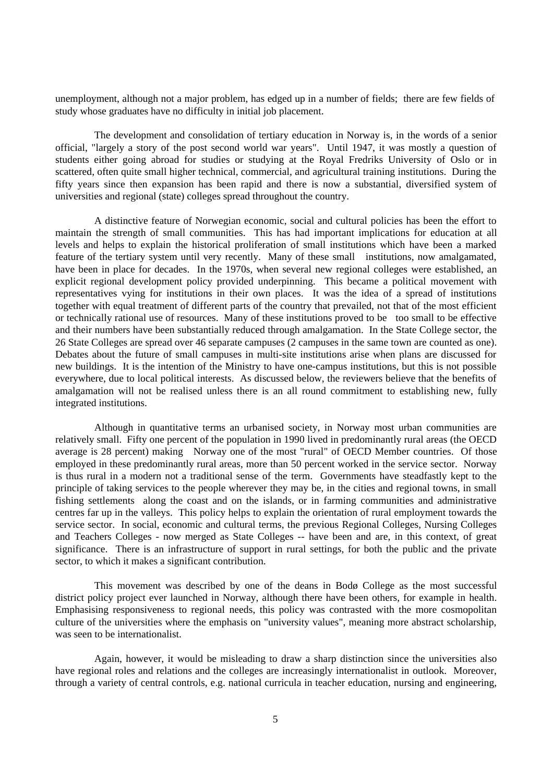unemployment, although not a major problem, has edged up in a number of fields; there are few fields of study whose graduates have no difficulty in initial job placement.

The development and consolidation of tertiary education in Norway is, in the words of a senior official, "largely a story of the post second world war years". Until 1947, it was mostly a question of students either going abroad for studies or studying at the Royal Fredriks University of Oslo or in scattered, often quite small higher technical, commercial, and agricultural training institutions. During the fifty years since then expansion has been rapid and there is now a substantial, diversified system of universities and regional (state) colleges spread throughout the country.

A distinctive feature of Norwegian economic, social and cultural policies has been the effort to maintain the strength of small communities. This has had important implications for education at all levels and helps to explain the historical proliferation of small institutions which have been a marked feature of the tertiary system until very recently. Many of these small institutions, now amalgamated, have been in place for decades. In the 1970s, when several new regional colleges were established, an explicit regional development policy provided underpinning. This became a political movement with representatives vying for institutions in their own places. It was the idea of a spread of institutions together with equal treatment of different parts of the country that prevailed, not that of the most efficient or technically rational use of resources. Many of these institutions proved to be too small to be effective and their numbers have been substantially reduced through amalgamation. In the State College sector, the 26 State Colleges are spread over 46 separate campuses (2 campuses in the same town are counted as one). Debates about the future of small campuses in multi-site institutions arise when plans are discussed for new buildings. It is the intention of the Ministry to have one-campus institutions, but this is not possible everywhere, due to local political interests. As discussed below, the reviewers believe that the benefits of amalgamation will not be realised unless there is an all round commitment to establishing new, fully integrated institutions.

Although in quantitative terms an urbanised society, in Norway most urban communities are relatively small. Fifty one percent of the population in 1990 lived in predominantly rural areas (the OECD average is 28 percent) making Norway one of the most "rural" of OECD Member countries. Of those employed in these predominantly rural areas, more than 50 percent worked in the service sector. Norway is thus rural in a modern not a traditional sense of the term. Governments have steadfastly kept to the principle of taking services to the people wherever they may be, in the cities and regional towns, in small fishing settlements along the coast and on the islands, or in farming communities and administrative centres far up in the valleys. This policy helps to explain the orientation of rural employment towards the service sector. In social, economic and cultural terms, the previous Regional Colleges, Nursing Colleges and Teachers Colleges - now merged as State Colleges -- have been and are, in this context, of great significance. There is an infrastructure of support in rural settings, for both the public and the private sector, to which it makes a significant contribution.

This movement was described by one of the deans in Bodø College as the most successful district policy project ever launched in Norway, although there have been others, for example in health. Emphasising responsiveness to regional needs, this policy was contrasted with the more cosmopolitan culture of the universities where the emphasis on "university values", meaning more abstract scholarship, was seen to be internationalist.

Again, however, it would be misleading to draw a sharp distinction since the universities also have regional roles and relations and the colleges are increasingly internationalist in outlook. Moreover, through a variety of central controls, e.g. national curricula in teacher education, nursing and engineering,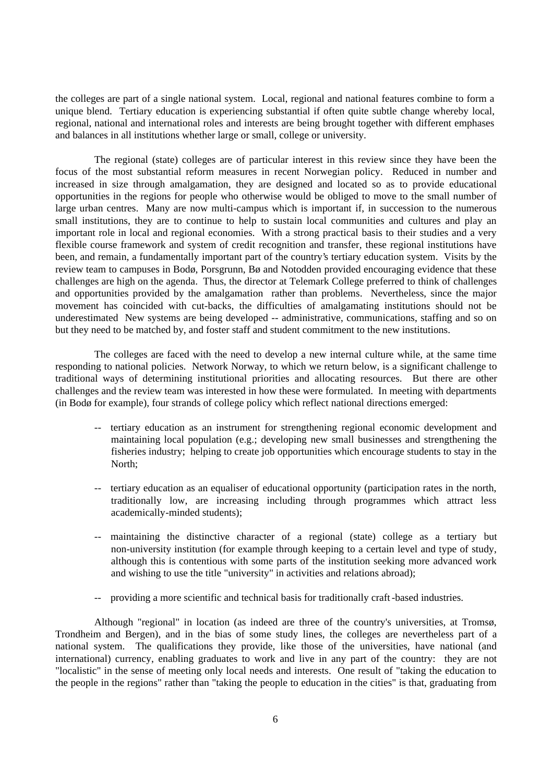the colleges are part of a single national system. Local, regional and national features combine to form a unique blend. Tertiary education is experiencing substantial if often quite subtle change whereby local, regional, national and international roles and interests are being brought together with different emphases and balances in all institutions whether large or small, college or university.

The regional (state) colleges are of particular interest in this review since they have been the focus of the most substantial reform measures in recent Norwegian policy. Reduced in number and increased in size through amalgamation, they are designed and located so as to provide educational opportunities in the regions for people who otherwise would be obliged to move to the small number of large urban centres. Many are now multi-campus which is important if, in succession to the numerous small institutions, they are to continue to help to sustain local communities and cultures and play an important role in local and regional economies. With a strong practical basis to their studies and a very flexible course framework and system of credit recognition and transfer, these regional institutions have been, and remain, a fundamentally important part of the country's tertiary education system. Visits by the review team to campuses in Bodø, Porsgrunn, Bø and Notodden provided encouraging evidence that these challenges are high on the agenda. Thus, the director at Telemark College preferred to think of challenges and opportunities provided by the amalgamation rather than problems. Nevertheless, since the major movement has coincided with cut-backs, the difficulties of amalgamating institutions should not be underestimated New systems are being developed -- administrative, communications, staffing and so on but they need to be matched by, and foster staff and student commitment to the new institutions.

The colleges are faced with the need to develop a new internal culture while, at the same time responding to national policies. Network Norway, to which we return below, is a significant challenge to traditional ways of determining institutional priorities and allocating resources. But there are other challenges and the review team was interested in how these were formulated. In meeting with departments (in Bodø for example), four strands of college policy which reflect national directions emerged:

- -- tertiary education as an instrument for strengthening regional economic development and maintaining local population (e.g.; developing new small businesses and strengthening the fisheries industry; helping to create job opportunities which encourage students to stay in the North;
- tertiary education as an equaliser of educational opportunity (participation rates in the north, traditionally low, are increasing including through programmes which attract less academically-minded students);
- maintaining the distinctive character of a regional (state) college as a tertiary but non-university institution (for example through keeping to a certain level and type of study, although this is contentious with some parts of the institution seeking more advanced work and wishing to use the title "university" in activities and relations abroad);
- -- providing a more scientific and technical basis for traditionally craft -based industries.

Although "regional" in location (as indeed are three of the country's universities, at Tromsø, Trondheim and Bergen), and in the bias of some study lines, the colleges are nevertheless part of a national system. The qualifications they provide, like those of the universities, have national (and international) currency, enabling graduates to work and live in any part of the country: they are not "localistic" in the sense of meeting only local needs and interests. One result of "taking the education to the people in the regions" rather than "taking the people to education in the cities" is that, graduating from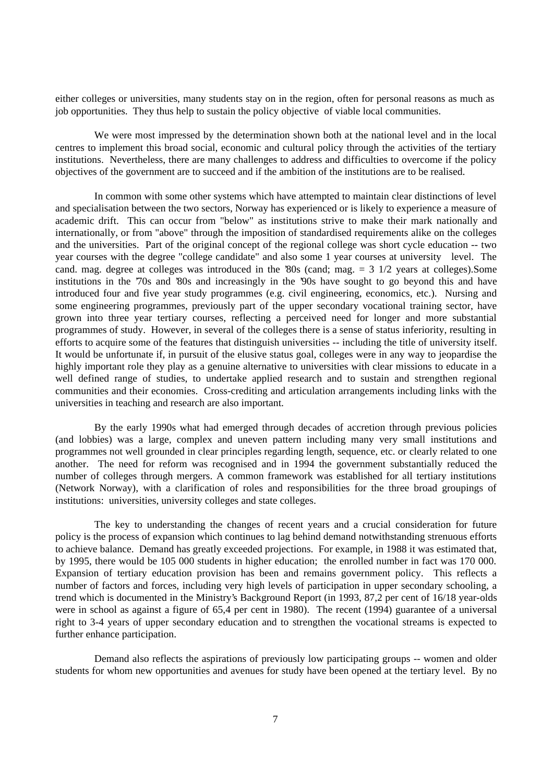either colleges or universities, many students stay on in the region, often for personal reasons as much as job opportunities. They thus help to sustain the policy objective of viable local communities.

We were most impressed by the determination shown both at the national level and in the local centres to implement this broad social, economic and cultural policy through the activities of the tertiary institutions. Nevertheless, there are many challenges to address and difficulties to overcome if the policy objectives of the government are to succeed and if the ambition of the institutions are to be realised.

In common with some other systems which have attempted to maintain clear distinctions of level and specialisation between the two sectors, Norway has experienced or is likely to experience a measure of academic drift. This can occur from "below" as institutions strive to make their mark nationally and internationally, or from "above" through the imposition of standardised requirements alike on the colleges and the universities. Part of the original concept of the regional college was short cycle education -- two year courses with the degree "college candidate" and also some 1 year courses at university level. The cand. mag. degree at colleges was introduced in the '80s (cand; mag. = 3 1/2 years at colleges).Some institutions in the '70s and '80s and increasingly in the '90s have sought to go beyond this and have introduced four and five year study programmes (e.g. civil engineering, economics, etc.). Nursing and some engineering programmes, previously part of the upper secondary vocational training sector, have grown into three year tertiary courses, reflecting a perceived need for longer and more substantial programmes of study. However, in several of the colleges there is a sense of status inferiority, resulting in efforts to acquire some of the features that distinguish universities -- including the title of university itself. It would be unfortunate if, in pursuit of the elusive status goal, colleges were in any way to jeopardise the highly important role they play as a genuine alternative to universities with clear missions to educate in a well defined range of studies, to undertake applied research and to sustain and strengthen regional communities and their economies. Cross-crediting and articulation arrangements including links with the universities in teaching and research are also important.

By the early 1990s what had emerged through decades of accretion through previous policies (and lobbies) was a large, complex and uneven pattern including many very small institutions and programmes not well grounded in clear principles regarding length, sequence, etc. or clearly related to one another. The need for reform was recognised and in 1994 the government substantially reduced the number of colleges through mergers. A common framework was established for all tertiary institutions (Network Norway), with a clarification of roles and responsibilities for the three broad groupings of institutions: universities, university colleges and state colleges.

The key to understanding the changes of recent years and a crucial consideration for future policy is the process of expansion which continues to lag behind demand notwithstanding strenuous efforts to achieve balance. Demand has greatly exceeded projections. For example, in 1988 it was estimated that, by 1995, there would be 105 000 students in higher education; the enrolled number in fact was 170 000. Expansion of tertiary education provision has been and remains government policy. This reflects a number of factors and forces, including very high levels of participation in upper secondary schooling, a trend which is documented in the Ministry's Background Report (in 1993, 87,2 per cent of 16/18 year-olds were in school as against a figure of 65,4 per cent in 1980). The recent (1994) guarantee of a universal right to 3-4 years of upper secondary education and to strengthen the vocational streams is expected to further enhance participation.

Demand also reflects the aspirations of previously low participating groups -- women and older students for whom new opportunities and avenues for study have been opened at the tertiary level. By no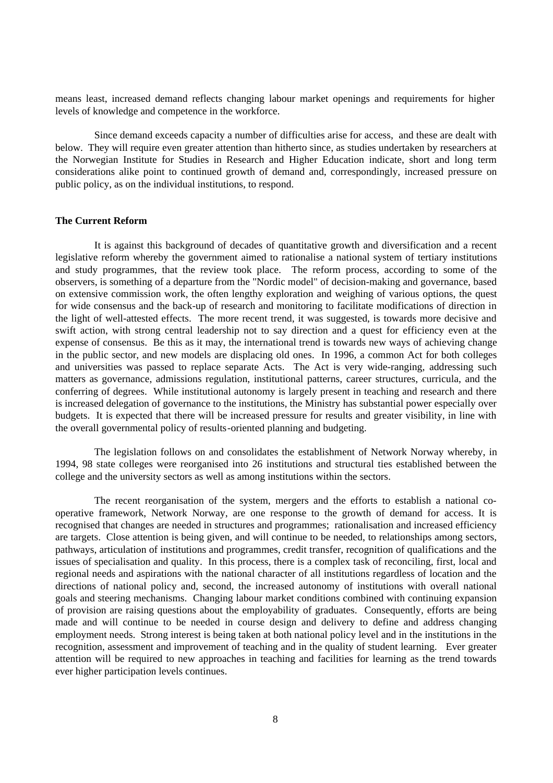means least, increased demand reflects changing labour market openings and requirements for higher levels of knowledge and competence in the workforce.

Since demand exceeds capacity a number of difficulties arise for access, and these are dealt with below. They will require even greater attention than hitherto since, as studies undertaken by researchers at the Norwegian Institute for Studies in Research and Higher Education indicate, short and long term considerations alike point to continued growth of demand and, correspondingly, increased pressure on public policy, as on the individual institutions, to respond.

## **The Current Reform**

It is against this background of decades of quantitative growth and diversification and a recent legislative reform whereby the government aimed to rationalise a national system of tertiary institutions and study programmes, that the review took place. The reform process, according to some of the observers, is something of a departure from the "Nordic model" of decision-making and governance, based on extensive commission work, the often lengthy exploration and weighing of various options, the quest for wide consensus and the back-up of research and monitoring to facilitate modifications of direction in the light of well-attested effects. The more recent trend, it was suggested, is towards more decisive and swift action, with strong central leadership not to say direction and a quest for efficiency even at the expense of consensus. Be this as it may, the international trend is towards new ways of achieving change in the public sector, and new models are displacing old ones. In 1996, a common Act for both colleges and universities was passed to replace separate Acts. The Act is very wide-ranging, addressing such matters as governance, admissions regulation, institutional patterns, career structures, curricula, and the conferring of degrees. While institutional autonomy is largely present in teaching and research and there is increased delegation of governance to the institutions, the Ministry has substantial power especially over budgets. It is expected that there will be increased pressure for results and greater visibility, in line with the overall governmental policy of results-oriented planning and budgeting.

The legislation follows on and consolidates the establishment of Network Norway whereby, in 1994, 98 state colleges were reorganised into 26 institutions and structural ties established between the college and the university sectors as well as among institutions within the sectors.

The recent reorganisation of the system, mergers and the efforts to establish a national cooperative framework, Network Norway, are one response to the growth of demand for access. It is recognised that changes are needed in structures and programmes; rationalisation and increased efficiency are targets. Close attention is being given, and will continue to be needed, to relationships among sectors, pathways, articulation of institutions and programmes, credit transfer, recognition of qualifications and the issues of specialisation and quality. In this process, there is a complex task of reconciling, first, local and regional needs and aspirations with the national character of all institutions regardless of location and the directions of national policy and, second, the increased autonomy of institutions with overall national goals and steering mechanisms. Changing labour market conditions combined with continuing expansion of provision are raising questions about the employability of graduates. Consequently, efforts are being made and will continue to be needed in course design and delivery to define and address changing employment needs. Strong interest is being taken at both national policy level and in the institutions in the recognition, assessment and improvement of teaching and in the quality of student learning. Ever greater attention will be required to new approaches in teaching and facilities for learning as the trend towards ever higher participation levels continues.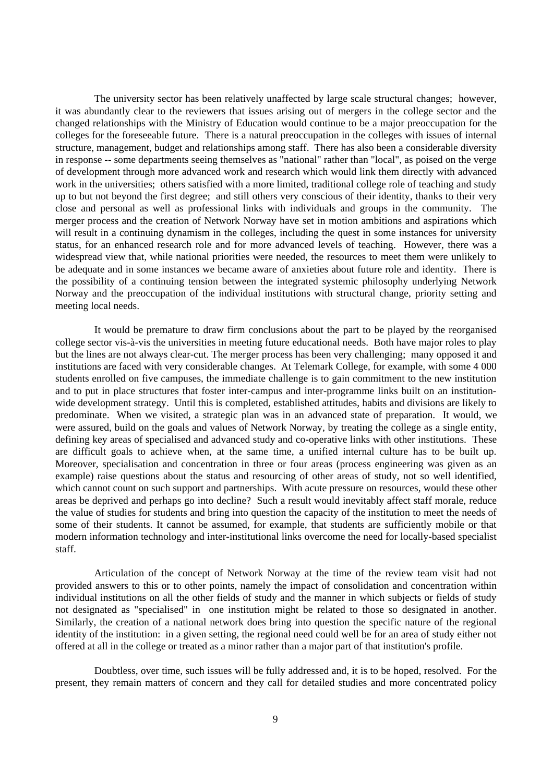The university sector has been relatively unaffected by large scale structural changes; however, it was abundantly clear to the reviewers that issues arising out of mergers in the college sector and the changed relationships with the Ministry of Education would continue to be a major preoccupation for the colleges for the foreseeable future. There is a natural preoccupation in the colleges with issues of internal structure, management, budget and relationships among staff. There has also been a considerable diversity in response -- some departments seeing themselves as "national" rather than "local", as poised on the verge of development through more advanced work and research which would link them directly with advanced work in the universities; others satisfied with a more limited, traditional college role of teaching and study up to but not beyond the first degree; and still others very conscious of their identity, thanks to their very close and personal as well as professional links with individuals and groups in the community. The merger process and the creation of Network Norway have set in motion ambitions and aspirations which will result in a continuing dynamism in the colleges, including the quest in some instances for university status, for an enhanced research role and for more advanced levels of teaching. However, there was a widespread view that, while national priorities were needed, the resources to meet them were unlikely to be adequate and in some instances we became aware of anxieties about future role and identity. There is the possibility of a continuing tension between the integrated systemic philosophy underlying Network Norway and the preoccupation of the individual institutions with structural change, priority setting and meeting local needs.

It would be premature to draw firm conclusions about the part to be played by the reorganised college sector vis-à-vis the universities in meeting future educational needs. Both have major roles to play but the lines are not always clear-cut. The merger process has been very challenging; many opposed it and institutions are faced with very considerable changes. At Telemark College, for example, with some 4 000 students enrolled on five campuses, the immediate challenge is to gain commitment to the new institution and to put in place structures that foster inter-campus and inter-programme links built on an institutionwide development strategy. Until this is completed, established attitudes, habits and divisions are likely to predominate. When we visited, a strategic plan was in an advanced state of preparation. It would, we were assured, build on the goals and values of Network Norway, by treating the college as a single entity, defining key areas of specialised and advanced study and co-operative links with other institutions. These are difficult goals to achieve when, at the same time, a unified internal culture has to be built up. Moreover, specialisation and concentration in three or four areas (process engineering was given as an example) raise questions about the status and resourcing of other areas of study, not so well identified, which cannot count on such support and partnerships. With acute pressure on resources, would these other areas be deprived and perhaps go into decline? Such a result would inevitably affect staff morale, reduce the value of studies for students and bring into question the capacity of the institution to meet the needs of some of their students. It cannot be assumed, for example, that students are sufficiently mobile or that modern information technology and inter-institutional links overcome the need for locally-based specialist staff.

Articulation of the concept of Network Norway at the time of the review team visit had not provided answers to this or to other points, namely the impact of consolidation and concentration within individual institutions on all the other fields of study and the manner in which subjects or fields of study not designated as "specialised" in one institution might be related to those so designated in another. Similarly, the creation of a national network does bring into question the specific nature of the regional identity of the institution: in a given setting, the regional need could well be for an area of study either not offered at all in the college or treated as a minor rather than a major part of that institution's profile.

Doubtless, over time, such issues will be fully addressed and, it is to be hoped, resolved. For the present, they remain matters of concern and they call for detailed studies and more concentrated policy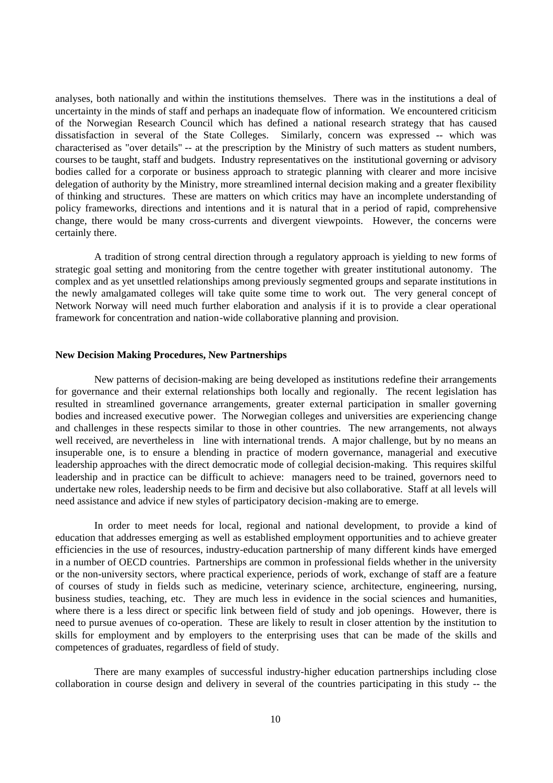analyses, both nationally and within the institutions themselves. There was in the institutions a deal of uncertainty in the minds of staff and perhaps an inadequate flow of information. We encountered criticism of the Norwegian Research Council which has defined a national research strategy that has caused dissatisfaction in several of the State Colleges. Similarly, concern was expressed -- which was characterised as "over details" -- at the prescription by the Ministry of such matters as student numbers, courses to be taught, staff and budgets. Industry representatives on the institutional governing or advisory bodies called for a corporate or business approach to strategic planning with clearer and more incisive delegation of authority by the Ministry, more streamlined internal decision making and a greater flexibility of thinking and structures. These are matters on which critics may have an incomplete understanding of policy frameworks, directions and intentions and it is natural that in a period of rapid, comprehensive change, there would be many cross-currents and divergent viewpoints. However, the concerns were certainly there.

A tradition of strong central direction through a regulatory approach is yielding to new forms of strategic goal setting and monitoring from the centre together with greater institutional autonomy. The complex and as yet unsettled relationships among previously segmented groups and separate institutions in the newly amalgamated colleges will take quite some time to work out. The very general concept of Network Norway will need much further elaboration and analysis if it is to provide a clear operational framework for concentration and nation-wide collaborative planning and provision.

#### **New Decision Making Procedures, New Partnerships**

New patterns of decision-making are being developed as institutions redefine their arrangements for governance and their external relationships both locally and regionally. The recent legislation has resulted in streamlined governance arrangements, greater external participation in smaller governing bodies and increased executive power. The Norwegian colleges and universities are experiencing change and challenges in these respects similar to those in other countries. The new arrangements, not always well received, are nevertheless in line with international trends. A major challenge, but by no means an insuperable one, is to ensure a blending in practice of modern governance, managerial and executive leadership approaches with the direct democratic mode of collegial decision-making. This requires skilful leadership and in practice can be difficult to achieve: managers need to be trained, governors need to undertake new roles, leadership needs to be firm and decisive but also collaborative. Staff at all levels will need assistance and advice if new styles of participatory decision-making are to emerge.

In order to meet needs for local, regional and national development, to provide a kind of education that addresses emerging as well as established employment opportunities and to achieve greater efficiencies in the use of resources, industry-education partnership of many different kinds have emerged in a number of OECD countries. Partnerships are common in professional fields whether in the university or the non-university sectors, where practical experience, periods of work, exchange of staff are a feature of courses of study in fields such as medicine, veterinary science, architecture, engineering, nursing, business studies, teaching, etc. They are much less in evidence in the social sciences and humanities, where there is a less direct or specific link between field of study and job openings. However, there is need to pursue avenues of co-operation. These are likely to result in closer attention by the institution to skills for employment and by employers to the enterprising uses that can be made of the skills and competences of graduates, regardless of field of study.

There are many examples of successful industry-higher education partnerships including close collaboration in course design and delivery in several of the countries participating in this study -- the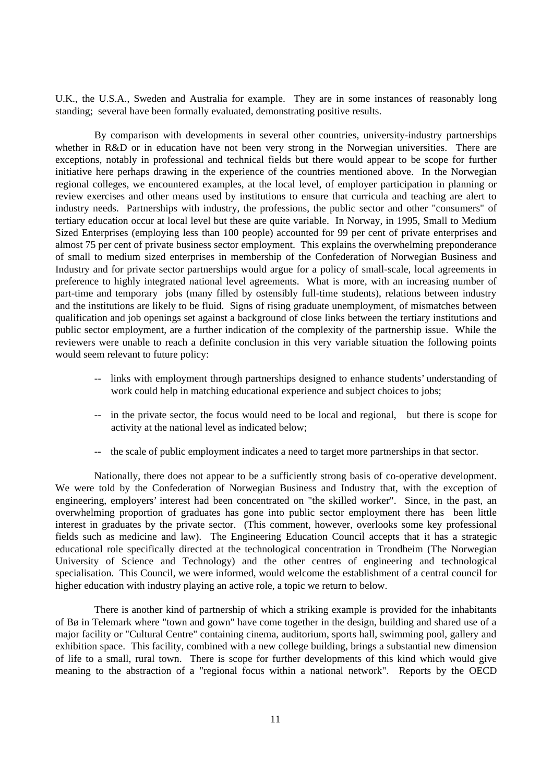U.K., the U.S.A., Sweden and Australia for example. They are in some instances of reasonably long standing; several have been formally evaluated, demonstrating positive results.

By comparison with developments in several other countries, university-industry partnerships whether in R&D or in education have not been very strong in the Norwegian universities. There are exceptions, notably in professional and technical fields but there would appear to be scope for further initiative here perhaps drawing in the experience of the countries mentioned above. In the Norwegian regional colleges, we encountered examples, at the local level, of employer participation in planning or review exercises and other means used by institutions to ensure that curricula and teaching are alert to industry needs. Partnerships with industry, the professions, the public sector and other "consumers" of tertiary education occur at local level but these are quite variable. In Norway, in 1995, Small to Medium Sized Enterprises (employing less than 100 people) accounted for 99 per cent of private enterprises and almost 75 per cent of private business sector employment. This explains the overwhelming preponderance of small to medium sized enterprises in membership of the Confederation of Norwegian Business and Industry and for private sector partnerships would argue for a policy of small-scale, local agreements in preference to highly integrated national level agreements. What is more, with an increasing number of part-time and temporary jobs (many filled by ostensibly full-time students), relations between industry and the institutions are likely to be fluid. Signs of rising graduate unemployment, of mismatches between qualification and job openings set against a background of close links between the tertiary institutions and public sector employment, are a further indication of the complexity of the partnership issue. While the reviewers were unable to reach a definite conclusion in this very variable situation the following points would seem relevant to future policy:

- -- links with employment through partnerships designed to enhance students' understanding of work could help in matching educational experience and subject choices to jobs;
- -- in the private sector, the focus would need to be local and regional, but there is scope for activity at the national level as indicated below;
- -- the scale of public employment indicates a need to target more partnerships in that sector.

Nationally, there does not appear to be a sufficiently strong basis of co-operative development. We were told by the Confederation of Norwegian Business and Industry that, with the exception of engineering, employers' interest had been concentrated on "the skilled worker". Since, in the past, an overwhelming proportion of graduates has gone into public sector employment there has been little interest in graduates by the private sector. (This comment, however, overlooks some key professional fields such as medicine and law). The Engineering Education Council accepts that it has a strategic educational role specifically directed at the technological concentration in Trondheim (The Norwegian University of Science and Technology) and the other centres of engineering and technological specialisation. This Council, we were informed, would welcome the establishment of a central council for higher education with industry playing an active role, a topic we return to below.

There is another kind of partnership of which a striking example is provided for the inhabitants of Bø in Telemark where "town and gown" have come together in the design, building and shared use of a major facility or "Cultural Centre" containing cinema, auditorium, sports hall, swimming pool, gallery and exhibition space. This facility, combined with a new college building, brings a substantial new dimension of life to a small, rural town. There is scope for further developments of this kind which would give meaning to the abstraction of a "regional focus within a national network". Reports by the OECD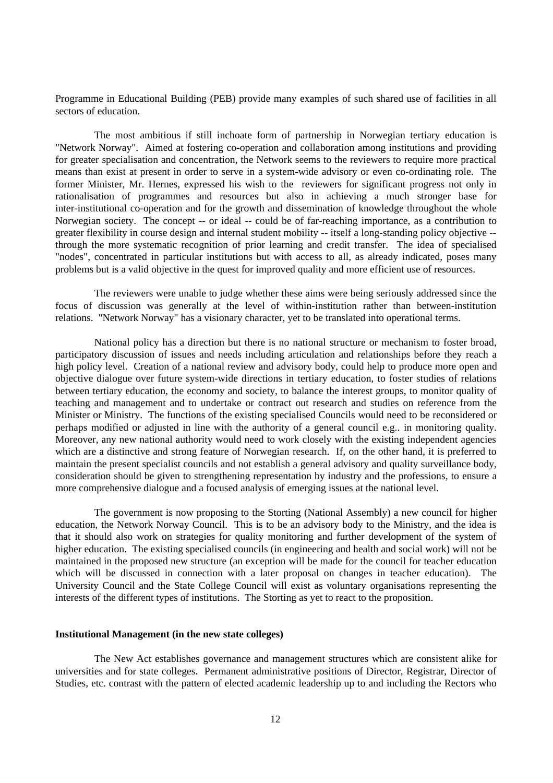Programme in Educational Building (PEB) provide many examples of such shared use of facilities in all sectors of education.

The most ambitious if still inchoate form of partnership in Norwegian tertiary education is "Network Norway". Aimed at fostering co-operation and collaboration among institutions and providing for greater specialisation and concentration, the Network seems to the reviewers to require more practical means than exist at present in order to serve in a system-wide advisory or even co-ordinating role. The former Minister, Mr. Hernes, expressed his wish to the reviewers for significant progress not only in rationalisation of programmes and resources but also in achieving a much stronger base for inter-institutional co-operation and for the growth and dissemination of knowledge throughout the whole Norwegian society. The concept -- or ideal -- could be of far-reaching importance, as a contribution to greater flexibility in course design and internal student mobility -- itself a long-standing policy objective - through the more systematic recognition of prior learning and credit transfer. The idea of specialised "nodes", concentrated in particular institutions but with access to all, as already indicated, poses many problems but is a valid objective in the quest for improved quality and more efficient use of resources.

The reviewers were unable to judge whether these aims were being seriously addressed since the focus of discussion was generally at the level of within-institution rather than between-institution relations. "Network Norway" has a visionary character, yet to be translated into operational terms.

National policy has a direction but there is no national structure or mechanism to foster broad, participatory discussion of issues and needs including articulation and relationships before they reach a high policy level. Creation of a national review and advisory body, could help to produce more open and objective dialogue over future system-wide directions in tertiary education, to foster studies of relations between tertiary education, the economy and society, to balance the interest groups, to monitor quality of teaching and management and to undertake or contract out research and studies on reference from the Minister or Ministry. The functions of the existing specialised Councils would need to be reconsidered or perhaps modified or adjusted in line with the authority of a general council e.g.. in monitoring quality. Moreover, any new national authority would need to work closely with the existing independent agencies which are a distinctive and strong feature of Norwegian research. If, on the other hand, it is preferred to maintain the present specialist councils and not establish a general advisory and quality surveillance body, consideration should be given to strengthening representation by industry and the professions, to ensure a more comprehensive dialogue and a focused analysis of emerging issues at the national level.

The government is now proposing to the Storting (National Assembly) a new council for higher education, the Network Norway Council. This is to be an advisory body to the Ministry, and the idea is that it should also work on strategies for quality monitoring and further development of the system of higher education. The existing specialised councils (in engineering and health and social work) will not be maintained in the proposed new structure (an exception will be made for the council for teacher education which will be discussed in connection with a later proposal on changes in teacher education). The University Council and the State College Council will exist as voluntary organisations representing the interests of the different types of institutions. The Storting as yet to react to the proposition.

#### **Institutional Management (in the new state colleges)**

The New Act establishes governance and management structures which are consistent alike for universities and for state colleges. Permanent administrative positions of Director, Registrar, Director of Studies, etc. contrast with the pattern of elected academic leadership up to and including the Rectors who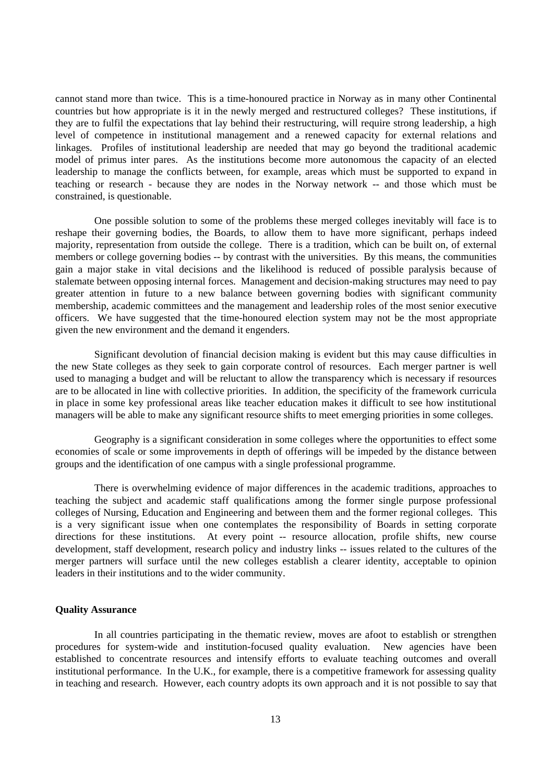cannot stand more than twice. This is a time-honoured practice in Norway as in many other Continental countries but how appropriate is it in the newly merged and restructured colleges? These institutions, if they are to fulfil the expectations that lay behind their restructuring, will require strong leadership, a high level of competence in institutional management and a renewed capacity for external relations and linkages. Profiles of institutional leadership are needed that may go beyond the traditional academic model of primus inter pares. As the institutions become more autonomous the capacity of an elected leadership to manage the conflicts between, for example, areas which must be supported to expand in teaching or research - because they are nodes in the Norway network -- and those which must be constrained, is questionable.

One possible solution to some of the problems these merged colleges inevitably will face is to reshape their governing bodies, the Boards, to allow them to have more significant, perhaps indeed majority, representation from outside the college. There is a tradition, which can be built on, of external members or college governing bodies -- by contrast with the universities. By this means, the communities gain a major stake in vital decisions and the likelihood is reduced of possible paralysis because of stalemate between opposing internal forces. Management and decision-making structures may need to pay greater attention in future to a new balance between governing bodies with significant community membership, academic committees and the management and leadership roles of the most senior executive officers. We have suggested that the time-honoured election system may not be the most appropriate given the new environment and the demand it engenders.

Significant devolution of financial decision making is evident but this may cause difficulties in the new State colleges as they seek to gain corporate control of resources. Each merger partner is well used to managing a budget and will be reluctant to allow the transparency which is necessary if resources are to be allocated in line with collective priorities. In addition, the specificity of the framework curricula in place in some key professional areas like teacher education makes it difficult to see how institutional managers will be able to make any significant resource shifts to meet emerging priorities in some colleges.

Geography is a significant consideration in some colleges where the opportunities to effect some economies of scale or some improvements in depth of offerings will be impeded by the distance between groups and the identification of one campus with a single professional programme.

There is overwhelming evidence of major differences in the academic traditions, approaches to teaching the subject and academic staff qualifications among the former single purpose professional colleges of Nursing, Education and Engineering and between them and the former regional colleges. This is a very significant issue when one contemplates the responsibility of Boards in setting corporate directions for these institutions. At every point -- resource allocation, profile shifts, new course development, staff development, research policy and industry links -- issues related to the cultures of the merger partners will surface until the new colleges establish a clearer identity, acceptable to opinion leaders in their institutions and to the wider community.

### **Quality Assurance**

In all countries participating in the thematic review, moves are afoot to establish or strengthen procedures for system-wide and institution-focused quality evaluation. New agencies have been established to concentrate resources and intensify efforts to evaluate teaching outcomes and overall institutional performance. In the U.K., for example, there is a competitive framework for assessing quality in teaching and research. However, each country adopts its own approach and it is not possible to say that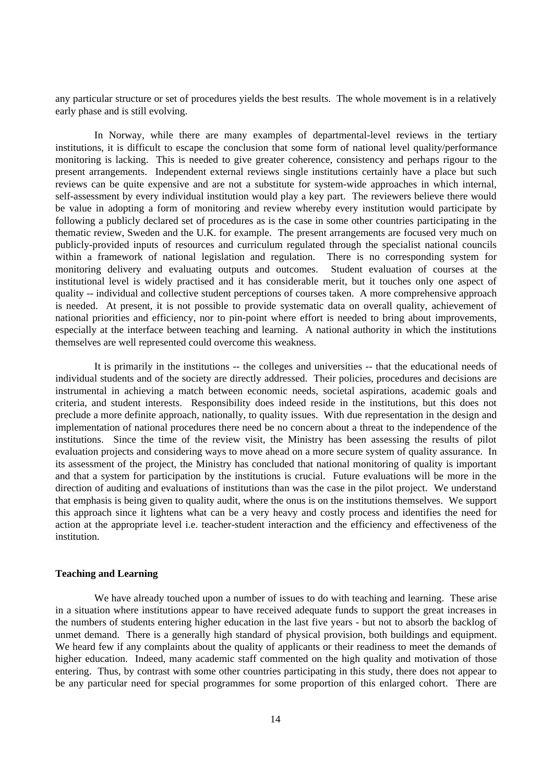any particular structure or set of procedures yields the best results. The whole movement is in a relatively early phase and is still evolving.

In Norway, while there are many examples of departmental-level reviews in the tertiary institutions, it is difficult to escape the conclusion that some form of national level quality/performance monitoring is lacking. This is needed to give greater coherence, consistency and perhaps rigour to the present arrangements. Independent external reviews single institutions certainly have a place but such reviews can be quite expensive and are not a substitute for system-wide approaches in which internal, self-assessment by every individual institution would play a key part. The reviewers believe there would be value in adopting a form of monitoring and review whereby every institution would participate by following a publicly declared set of procedures as is the case in some other countries participating in the thematic review, Sweden and the U.K. for example. The present arrangements are focused very much on publicly-provided inputs of resources and curriculum regulated through the specialist national councils within a framework of national legislation and regulation. There is no corresponding system for monitoring delivery and evaluating outputs and outcomes. Student evaluation of courses at the institutional level is widely practised and it has considerable merit, but it touches only one aspect of quality -- individual and collective student perceptions of courses taken. A more comprehensive approach is needed. At present, it is not possible to provide systematic data on overall quality, achievement of national priorities and efficiency, nor to pin-point where effort is needed to bring about improvements, especially at the interface between teaching and learning. A national authority in which the institutions themselves are well represented could overcome this weakness.

It is primarily in the institutions -- the colleges and universities -- that the educational needs of individual students and of the society are directly addressed. Their policies, procedures and decisions are instrumental in achieving a match between economic needs, societal aspirations, academic goals and criteria, and student interests. Responsibility does indeed reside in the institutions, but this does not preclude a more definite approach, nationally, to quality issues. With due representation in the design and implementation of national procedures there need be no concern about a threat to the independence of the institutions. Since the time of the review visit, the Ministry has been assessing the results of pilot evaluation projects and considering ways to move ahead on a more secure system of quality assurance. In its assessment of the project, the Ministry has concluded that national monitoring of quality is important and that a system for participation by the institutions is crucial. Future evaluations will be more in the direction of auditing and evaluations of institutions than was the case in the pilot project. We understand that emphasis is being given to quality audit, where the onus is on the institutions themselves. We support this approach since it lightens what can be a very heavy and costly process and identifies the need for action at the appropriate level i.e. teacher-student interaction and the efficiency and effectiveness of the institution.

## **Teaching and Learning**

We have already touched upon a number of issues to do with teaching and learning. These arise in a situation where institutions appear to have received adequate funds to support the great increases in the numbers of students entering higher education in the last five years - but not to absorb the backlog of unmet demand. There is a generally high standard of physical provision, both buildings and equipment. We heard few if any complaints about the quality of applicants or their readiness to meet the demands of higher education. Indeed, many academic staff commented on the high quality and motivation of those entering. Thus, by contrast with some other countries participating in this study, there does not appear to be any particular need for special programmes for some proportion of this enlarged cohort. There are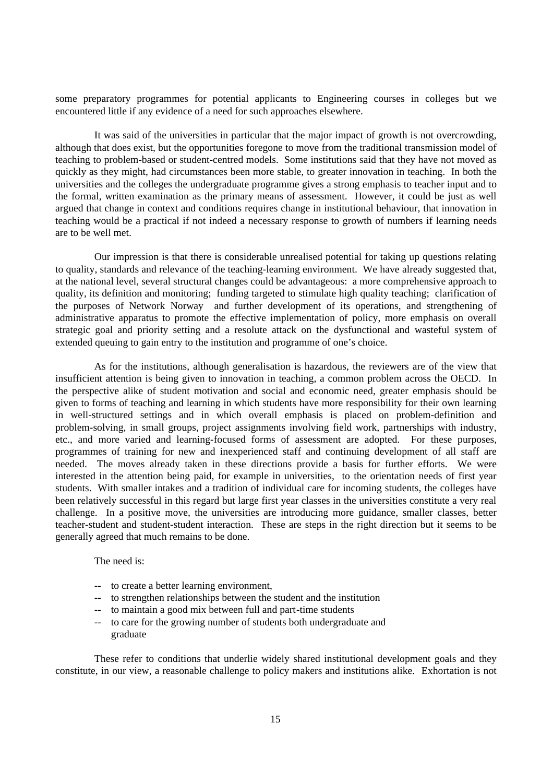some preparatory programmes for potential applicants to Engineering courses in colleges but we encountered little if any evidence of a need for such approaches elsewhere.

It was said of the universities in particular that the major impact of growth is not overcrowding, although that does exist, but the opportunities foregone to move from the traditional transmission model of teaching to problem-based or student-centred models. Some institutions said that they have not moved as quickly as they might, had circumstances been more stable, to greater innovation in teaching. In both the universities and the colleges the undergraduate programme gives a strong emphasis to teacher input and to the formal, written examination as the primary means of assessment. However, it could be just as well argued that change in context and conditions requires change in institutional behaviour, that innovation in teaching would be a practical if not indeed a necessary response to growth of numbers if learning needs are to be well met.

Our impression is that there is considerable unrealised potential for taking up questions relating to quality, standards and relevance of the teaching-learning environment. We have already suggested that, at the national level, several structural changes could be advantageous: a more comprehensive approach to quality, its definition and monitoring; funding targeted to stimulate high quality teaching; clarification of the purposes of Network Norway and further development of its operations, and strengthening of administrative apparatus to promote the effective implementation of policy, more emphasis on overall strategic goal and priority setting and a resolute attack on the dysfunctional and wasteful system of extended queuing to gain entry to the institution and programme of one's choice.

As for the institutions, although generalisation is hazardous, the reviewers are of the view that insufficient attention is being given to innovation in teaching, a common problem across the OECD. In the perspective alike of student motivation and social and economic need, greater emphasis should be given to forms of teaching and learning in which students have more responsibility for their own learning in well-structured settings and in which overall emphasis is placed on problem-definition and problem-solving, in small groups, project assignments involving field work, partnerships with industry, etc., and more varied and learning-focused forms of assessment are adopted. For these purposes, programmes of training for new and inexperienced staff and continuing development of all staff are needed. The moves already taken in these directions provide a basis for further efforts. We were interested in the attention being paid, for example in universities, to the orientation needs of first year students. With smaller intakes and a tradition of individual care for incoming students, the colleges have been relatively successful in this regard but large first year classes in the universities constitute a very real challenge. In a positive move, the universities are introducing more guidance, smaller classes, better teacher-student and student-student interaction. These are steps in the right direction but it seems to be generally agreed that much remains to be done.

The need is:

- -- to create a better learning environment,
- to strengthen relationships between the student and the institution
- to maintain a good mix between full and part-time students
- -- to care for the growing number of students both undergraduate and graduate

These refer to conditions that underlie widely shared institutional development goals and they constitute, in our view, a reasonable challenge to policy makers and institutions alike. Exhortation is not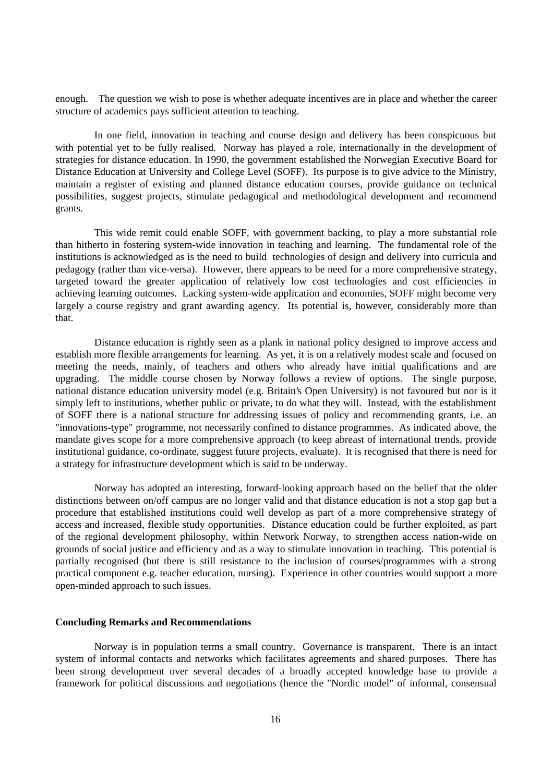enough. The question we wish to pose is whether adequate incentives are in place and whether the career structure of academics pays sufficient attention to teaching.

In one field, innovation in teaching and course design and delivery has been conspicuous but with potential yet to be fully realised. Norway has played a role, internationally in the development of strategies for distance education. In 1990, the government established the Norwegian Executive Board for Distance Education at University and College Level (SOFF). Its purpose is to give advice to the Ministry, maintain a register of existing and planned distance education courses, provide guidance on technical possibilities, suggest projects, stimulate pedagogical and methodological development and recommend grants.

This wide remit could enable SOFF, with government backing, to play a more substantial role than hitherto in fostering system-wide innovation in teaching and learning. The fundamental role of the institutions is acknowledged as is the need to build technologies of design and delivery into curricula and pedagogy (rather than vice-versa). However, there appears to be need for a more comprehensive strategy, targeted toward the greater application of relatively low cost technologies and cost efficiencies in achieving learning outcomes. Lacking system-wide application and economies, SOFF might become very largely a course registry and grant awarding agency. Its potential is, however, considerably more than that.

Distance education is rightly seen as a plank in national policy designed to improve access and establish more flexible arrangements for learning. As yet, it is on a relatively modest scale and focused on meeting the needs, mainly, of teachers and others who already have initial qualifications and are upgrading. The middle course chosen by Norway follows a review of options. The single purpose, national distance education university model (e.g. Britain's Open University) is not favoured but nor is it simply left to institutions, whether public or private, to do what they will. Instead, with the establishment of SOFF there is a national structure for addressing issues of policy and recommending grants, i.e. an "innovations-type" programme, not necessarily confined to distance programmes. As indicated above, the mandate gives scope for a more comprehensive approach (to keep abreast of international trends, provide institutional guidance, co-ordinate, suggest future projects, evaluate). It is recognised that there is need for a strategy for infrastructure development which is said to be underway.

Norway has adopted an interesting, forward-looking approach based on the belief that the older distinctions between on/off campus are no longer valid and that distance education is not a stop gap but a procedure that established institutions could well develop as part of a more comprehensive strategy of access and increased, flexible study opportunities. Distance education could be further exploited, as part of the regional development philosophy, within Network Norway, to strengthen access nation-wide on grounds of social justice and efficiency and as a way to stimulate innovation in teaching. This potential is partially recognised (but there is still resistance to the inclusion of courses/programmes with a strong practical component e.g. teacher education, nursing). Experience in other countries would support a more open-minded approach to such issues.

#### **Concluding Remarks and Recommendations**

Norway is in population terms a small country. Governance is transparent. There is an intact system of informal contacts and networks which facilitates agreements and shared purposes. There has been strong development over several decades of a broadly accepted knowledge base to provide a framework for political discussions and negotiations (hence the "Nordic model" of informal, consensual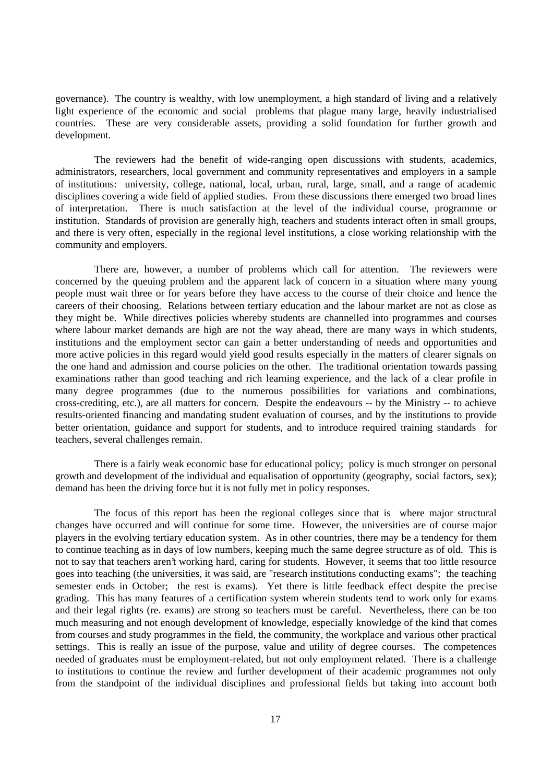governance). The country is wealthy, with low unemployment, a high standard of living and a relatively light experience of the economic and social problems that plague many large, heavily industrialised countries. These are very considerable assets, providing a solid foundation for further growth and development.

The reviewers had the benefit of wide-ranging open discussions with students, academics, administrators, researchers, local government and community representatives and employers in a sample of institutions: university, college, national, local, urban, rural, large, small, and a range of academic disciplines covering a wide field of applied studies. From these discussions there emerged two broad lines of interpretation. There is much satisfaction at the level of the individual course, programme or institution. Standards of provision are generally high, teachers and students interact often in small groups, and there is very often, especially in the regional level institutions, a close working relationship with the community and employers.

There are, however, a number of problems which call for attention. The reviewers were concerned by the queuing problem and the apparent lack of concern in a situation where many young people must wait three or for years before they have access to the course of their choice and hence the careers of their choosing. Relations between tertiary education and the labour market are not as close as they might be. While directives policies whereby students are channelled into programmes and courses where labour market demands are high are not the way ahead, there are many ways in which students, institutions and the employment sector can gain a better understanding of needs and opportunities and more active policies in this regard would yield good results especially in the matters of clearer signals on the one hand and admission and course policies on the other. The traditional orientation towards passing examinations rather than good teaching and rich learning experience, and the lack of a clear profile in many degree programmes (due to the numerous possibilities for variations and combinations, cross-crediting, etc.), are all matters for concern. Despite the endeavours -- by the Ministry -- to achieve results-oriented financing and mandating student evaluation of courses, and by the institutions to provide better orientation, guidance and support for students, and to introduce required training standards for teachers, several challenges remain.

There is a fairly weak economic base for educational policy; policy is much stronger on personal growth and development of the individual and equalisation of opportunity (geography, social factors, sex); demand has been the driving force but it is not fully met in policy responses.

The focus of this report has been the regional colleges since that is where major structural changes have occurred and will continue for some time. However, the universities are of course major players in the evolving tertiary education system. As in other countries, there may be a tendency for them to continue teaching as in days of low numbers, keeping much the same degree structure as of old. This is not to say that teachers aren't working hard, caring for students. However, it seems that too little resource goes into teaching (the universities, it was said, are "research institutions conducting exams"; the teaching semester ends in October; the rest is exams). Yet there is little feedback effect despite the precise grading. This has many features of a certification system wherein students tend to work only for exams and their legal rights (re. exams) are strong so teachers must be careful. Nevertheless, there can be too much measuring and not enough development of knowledge, especially knowledge of the kind that comes from courses and study programmes in the field, the community, the workplace and various other practical settings. This is really an issue of the purpose, value and utility of degree courses. The competences needed of graduates must be employment-related, but not only employment related. There is a challenge to institutions to continue the review and further development of their academic programmes not only from the standpoint of the individual disciplines and professional fields but taking into account both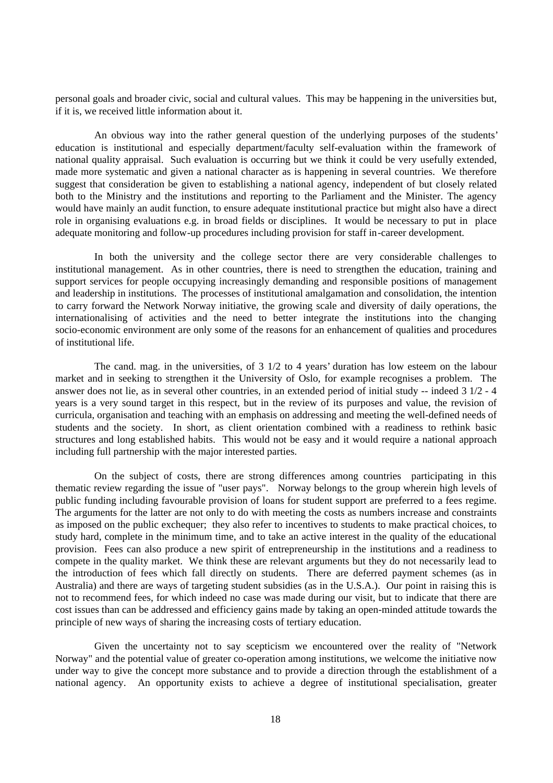personal goals and broader civic, social and cultural values. This may be happening in the universities but, if it is, we received little information about it.

An obvious way into the rather general question of the underlying purposes of the students' education is institutional and especially department/faculty self-evaluation within the framework of national quality appraisal. Such evaluation is occurring but we think it could be very usefully extended, made more systematic and given a national character as is happening in several countries. We therefore suggest that consideration be given to establishing a national agency, independent of but closely related both to the Ministry and the institutions and reporting to the Parliament and the Minister. The agency would have mainly an audit function, to ensure adequate institutional practice but might also have a direct role in organising evaluations e.g. in broad fields or disciplines. It would be necessary to put in place adequate monitoring and follow-up procedures including provision for staff in-career development.

In both the university and the college sector there are very considerable challenges to institutional management. As in other countries, there is need to strengthen the education, training and support services for people occupying increasingly demanding and responsible positions of management and leadership in institutions. The processes of institutional amalgamation and consolidation, the intention to carry forward the Network Norway initiative, the growing scale and diversity of daily operations, the internationalising of activities and the need to better integrate the institutions into the changing socio-economic environment are only some of the reasons for an enhancement of qualities and procedures of institutional life.

The cand. mag. in the universities, of 3 1/2 to 4 years' duration has low esteem on the labour market and in seeking to strengthen it the University of Oslo, for example recognises a problem. The answer does not lie, as in several other countries, in an extended period of initial study -- indeed 3 1/2 - 4 years is a very sound target in this respect, but in the review of its purposes and value, the revision of curricula, organisation and teaching with an emphasis on addressing and meeting the well-defined needs of students and the society. In short, as client orientation combined with a readiness to rethink basic structures and long established habits. This would not be easy and it would require a national approach including full partnership with the major interested parties.

On the subject of costs, there are strong differences among countries participating in this thematic review regarding the issue of "user pays". Norway belongs to the group wherein high levels of public funding including favourable provision of loans for student support are preferred to a fees regime. The arguments for the latter are not only to do with meeting the costs as numbers increase and constraints as imposed on the public exchequer; they also refer to incentives to students to make practical choices, to study hard, complete in the minimum time, and to take an active interest in the quality of the educational provision. Fees can also produce a new spirit of entrepreneurship in the institutions and a readiness to compete in the quality market. We think these are relevant arguments but they do not necessarily lead to the introduction of fees which fall directly on students. There are deferred payment schemes (as in Australia) and there are ways of targeting student subsidies (as in the U.S.A.). Our point in raising this is not to recommend fees, for which indeed no case was made during our visit, but to indicate that there are cost issues than can be addressed and efficiency gains made by taking an open-minded attitude towards the principle of new ways of sharing the increasing costs of tertiary education.

Given the uncertainty not to say scepticism we encountered over the reality of "Network Norway" and the potential value of greater co-operation among institutions, we welcome the initiative now under way to give the concept more substance and to provide a direction through the establishment of a national agency. An opportunity exists to achieve a degree of institutional specialisation, greater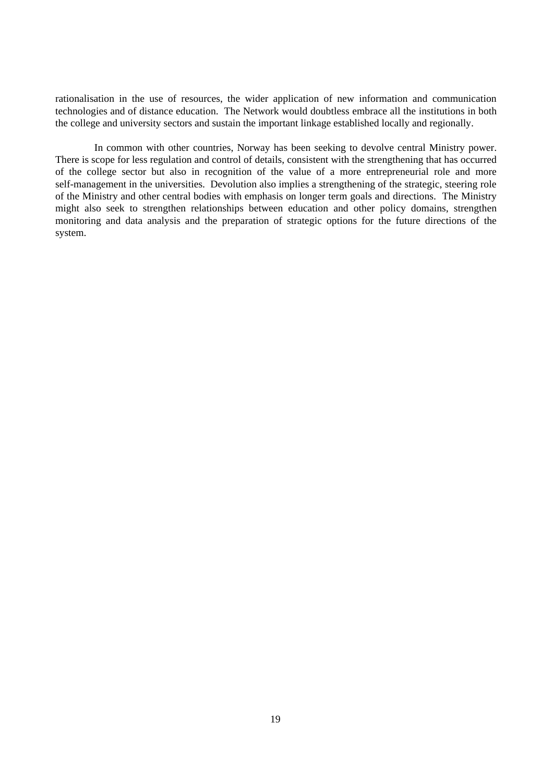rationalisation in the use of resources, the wider application of new information and communication technologies and of distance education. The Network would doubtless embrace all the institutions in both the college and university sectors and sustain the important linkage established locally and regionally.

In common with other countries, Norway has been seeking to devolve central Ministry power. There is scope for less regulation and control of details, consistent with the strengthening that has occurred of the college sector but also in recognition of the value of a more entrepreneurial role and more self-management in the universities. Devolution also implies a strengthening of the strategic, steering role of the Ministry and other central bodies with emphasis on longer term goals and directions. The Ministry might also seek to strengthen relationships between education and other policy domains, strengthen monitoring and data analysis and the preparation of strategic options for the future directions of the system.